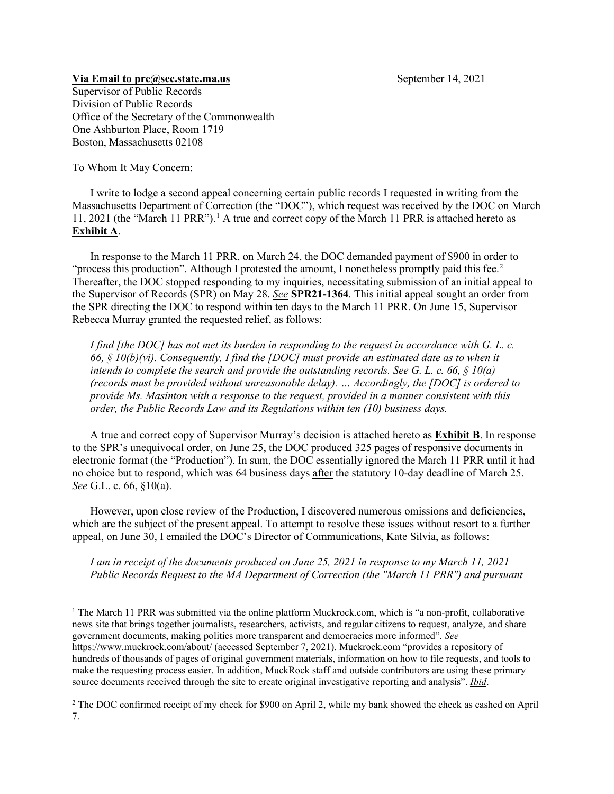## **Via Email to [pre@sec.state.ma.us](mailto:pre@sec.state.ma.us)** September 14, 2021

Supervisor of Public Records Division of Public Records Office of the Secretary of the Commonwealth One Ashburton Place, Room 1719 Boston, Massachusetts 02108

To Whom It May Concern:

I write to lodge a second appeal concerning certain public records I requested in writing from the Massachusetts Department of Correction (the "DOC"), which request was received by the DOC on March 11, 2021 (the "March 11 PRR"). [1](#page-0-0) A true and correct copy of the March 11 PRR is attached hereto as **Exhibit A**.

In response to the March 11 PRR, on March 24, the DOC demanded payment of \$900 in order to "process this production". Although I protested the amount, I nonetheless promptly paid this fee.<sup>[2](#page-0-1)</sup> Thereafter, the DOC stopped responding to my inquiries, necessitating submission of an initial appeal to the Supervisor of Records (SPR) on May 28. *See* **SPR21-1364**. This initial appeal sought an order from the SPR directing the DOC to respond within ten days to the March 11 PRR. On June 15, Supervisor Rebecca Murray granted the requested relief, as follows:

*I find [the DOC] has not met its burden in responding to the request in accordance with G. L. c. 66, § 10(b)(vi). Consequently, I find the [DOC] must provide an estimated date as to when it intends to complete the search and provide the outstanding records. See G. L. c. 66, § 10(a) (records must be provided without unreasonable delay). … Accordingly, the [DOC] is ordered to provide Ms. Masinton with a response to the request, provided in a manner consistent with this order, the Public Records Law and its Regulations within ten (10) business days.*

A true and correct copy of Supervisor Murray's decision is attached hereto as **Exhibit B**. In response to the SPR's unequivocal order, on June 25, the DOC produced 325 pages of responsive documents in electronic format (the "Production"). In sum, the DOC essentially ignored the March 11 PRR until it had no choice but to respond, which was 64 business days after the statutory 10-day deadline of March 25. *See* G.L. c. 66, §10(a).

However, upon close review of the Production, I discovered numerous omissions and deficiencies, which are the subject of the present appeal. To attempt to resolve these issues without resort to a further appeal, on June 30, I emailed the DOC's Director of Communications, Kate Silvia, as follows:

*I am in receipt of the documents produced on June 25, 2021 in response to my March 11, 2021 Public Records Request to the MA Department of Correction (the "March 11 PRR") and pursuant* 

<span id="page-0-0"></span><sup>&</sup>lt;sup>1</sup> The March 11 PRR was submitted via the online platform Muckrock.com, which is "a non-profit, collaborative news site that brings together journalists, researchers, activists, and regular citizens to request, analyze, and share government documents, making politics more transparent and democracies more informed". *See* <https://www.muckrock.com/about/> (accessed September 7, 2021). Muckrock.com "provides a [repository of](https://www.muckrock.com/foi/list/)  [hundreds of thousands of pages of original government materials,](https://www.muckrock.com/foi/list/) [information on how to file requests,](https://www.muckrock.com/about/foia-101/) an[d tools to](https://www.muckrock.com/landing/)  [make the requesting process easier.](https://www.muckrock.com/landing/) In addition, MuckRock staff and outside contributors are using these primary source documents received through the site to create [original investigative reporting and analysis"](https://www.muckrock.com/news/archives/). *Ibid*.

<span id="page-0-1"></span><sup>&</sup>lt;sup>2</sup> The DOC confirmed receipt of my check for \$900 on April 2, while my bank showed the check as cashed on April 7.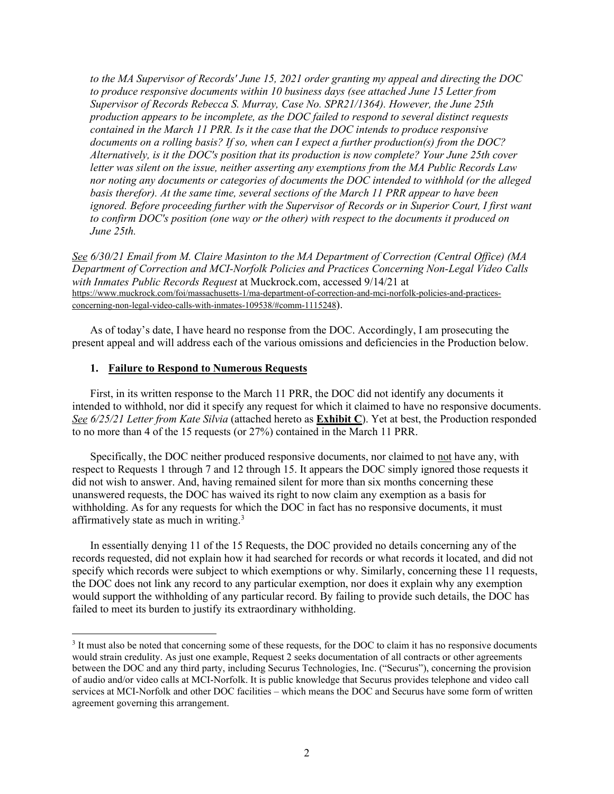*to the MA Supervisor of Records' June 15, 2021 order granting my appeal and directing the DOC to produce responsive documents within 10 business days (see attached June 15 Letter from Supervisor of Records Rebecca S. Murray, Case No. SPR21/1364). However, the June 25th production appears to be incomplete, as the DOC failed to respond to several distinct requests contained in the March 11 PRR. Is it the case that the DOC intends to produce responsive documents on a rolling basis? If so, when can I expect a further production(s) from the DOC? Alternatively, is it the DOC's position that its production is now complete? Your June 25th cover letter was silent on the issue, neither asserting any exemptions from the MA Public Records Law nor noting any documents or categories of documents the DOC intended to withhold (or the alleged basis therefor). At the same time, several sections of the March 11 PRR appear to have been ignored. Before proceeding further with the Supervisor of Records or in Superior Court, I first want to confirm DOC's position (one way or the other) with respect to the documents it produced on June 25th.*

*See 6/30/21 Email from M. Claire Masinton to the MA Department of Correction (Central Office) (MA Department of Correction and MCI-Norfolk Policies and Practices Concerning Non-Legal Video Calls with Inmates Public Records Request* at Muckrock.com, accessed 9/14/21 at [https://www.muckrock.com/foi/massachusetts-1/ma-department-of-correction-and-mci-norfolk-policies-and-practices](https://www.muckrock.com/foi/massachusetts-1/ma-department-of-correction-and-mci-norfolk-policies-and-practices-concerning-non-legal-video-calls-with-inmates-109538/#comm-1115248)[concerning-non-legal-video-calls-with-inmates-109538/#comm-1115248\)](https://www.muckrock.com/foi/massachusetts-1/ma-department-of-correction-and-mci-norfolk-policies-and-practices-concerning-non-legal-video-calls-with-inmates-109538/#comm-1115248).

As of today's date, I have heard no response from the DOC. Accordingly, I am prosecuting the present appeal and will address each of the various omissions and deficiencies in the Production below.

## **1. Failure to Respond to Numerous Requests**

First, in its written response to the March 11 PRR, the DOC did not identify any documents it intended to withhold, nor did it specify any request for which it claimed to have no responsive documents. *See 6/25/21 Letter from Kate Silvia* (attached hereto as **Exhibit C**). Yet at best, the Production responded to no more than 4 of the 15 requests (or 27%) contained in the March 11 PRR.

Specifically, the DOC neither produced responsive documents, nor claimed to not have any, with respect to Requests 1 through 7 and 12 through 15. It appears the DOC simply ignored those requests it did not wish to answer. And, having remained silent for more than six months concerning these unanswered requests, the DOC has waived its right to now claim any exemption as a basis for withholding. As for any requests for which the DOC in fact has no responsive documents, it must affirmatively state as much in writing.<sup>[3](#page-1-0)</sup>

In essentially denying 11 of the 15 Requests, the DOC provided no details concerning any of the records requested, did not explain how it had searched for records or what records it located, and did not specify which records were subject to which exemptions or why. Similarly, concerning these 11 requests, the DOC does not link any record to any particular exemption, nor does it explain why any exemption would support the withholding of any particular record. By failing to provide such details, the DOC has failed to meet its burden to justify its extraordinary withholding.

<span id="page-1-0"></span><sup>&</sup>lt;sup>3</sup> It must also be noted that concerning some of these requests, for the DOC to claim it has no responsive documents would strain credulity. As just one example, Request 2 seeks documentation of all contracts or other agreements between the DOC and any third party, including Securus Technologies, Inc. ("Securus"), concerning the provision of audio and/or video calls at MCI-Norfolk. It is public knowledge that Securus provides telephone and video call services at MCI-Norfolk and other DOC facilities – which means the DOC and Securus have some form of written agreement governing this arrangement.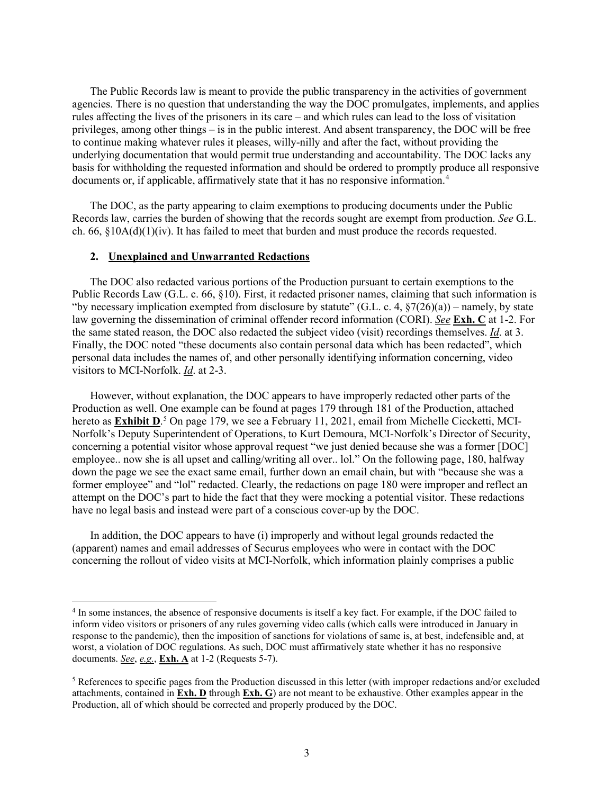The Public Records law is meant to provide the public transparency in the activities of government agencies. There is no question that understanding the way the DOC promulgates, implements, and applies rules affecting the lives of the prisoners in its care – and which rules can lead to the loss of visitation privileges, among other things – is in the public interest. And absent transparency, the DOC will be free to continue making whatever rules it pleases, willy-nilly and after the fact, without providing the underlying documentation that would permit true understanding and accountability. The DOC lacks any basis for withholding the requested information and should be ordered to promptly produce all responsive documents or, if applicable, affirmatively state that it has no responsive information.[4](#page-2-0)

The DOC, as the party appearing to claim exemptions to producing documents under the Public Records law, carries the burden of showing that the records sought are exempt from production. *See* G.L. ch. 66,  $$10A(d)(1)(iv)$ . It has failed to meet that burden and must produce the records requested.

#### **2. Unexplained and Unwarranted Redactions**

The DOC also redacted various portions of the Production pursuant to certain exemptions to the Public Records Law (G.L. c. 66, §10). First, it redacted prisoner names, claiming that such information is "by necessary implication exempted from disclosure by statute" (G.L. c. 4,  $\sqrt{7(26)(a)}$ ) – namely, by state law governing the dissemination of criminal offender record information (CORI). *See* **Exh. C** at 1-2. For the same stated reason, the DOC also redacted the subject video (visit) recordings themselves. *Id*. at 3. Finally, the DOC noted "these documents also contain personal data which has been redacted", which personal data includes the names of, and other personally identifying information concerning, video visitors to MCI-Norfolk. *Id*. at 2-3.

However, without explanation, the DOC appears to have improperly redacted other parts of the Production as well. One example can be found at pages 179 through 181 of the Production, attached hereto as **Exhibit D**. [5](#page-2-1) On page 179, we see a February 11, 2021, email from Michelle Ciccketti, MCI-Norfolk's Deputy Superintendent of Operations, to Kurt Demoura, MCI-Norfolk's Director of Security, concerning a potential visitor whose approval request "we just denied because she was a former [DOC] employee.. now she is all upset and calling/writing all over.. lol." On the following page, 180, halfway down the page we see the exact same email, further down an email chain, but with "because she was a former employee" and "lol" redacted. Clearly, the redactions on page 180 were improper and reflect an attempt on the DOC's part to hide the fact that they were mocking a potential visitor. These redactions have no legal basis and instead were part of a conscious cover-up by the DOC.

In addition, the DOC appears to have (i) improperly and without legal grounds redacted the (apparent) names and email addresses of Securus employees who were in contact with the DOC concerning the rollout of video visits at MCI-Norfolk, which information plainly comprises a public

<span id="page-2-0"></span><sup>&</sup>lt;sup>4</sup> In some instances, the absence of responsive documents is itself a key fact. For example, if the DOC failed to inform video visitors or prisoners of any rules governing video calls (which calls were introduced in January in response to the pandemic), then the imposition of sanctions for violations of same is, at best, indefensible and, at worst, a violation of DOC regulations. As such, DOC must affirmatively state whether it has no responsive documents. *See*, *e.g.*, **Exh. A** at 1-2 (Requests 5-7).

<span id="page-2-1"></span><sup>5</sup> References to specific pages from the Production discussed in this letter (with improper redactions and/or excluded attachments, contained in **Exh. D** through **Exh. G**) are not meant to be exhaustive. Other examples appear in the Production, all of which should be corrected and properly produced by the DOC.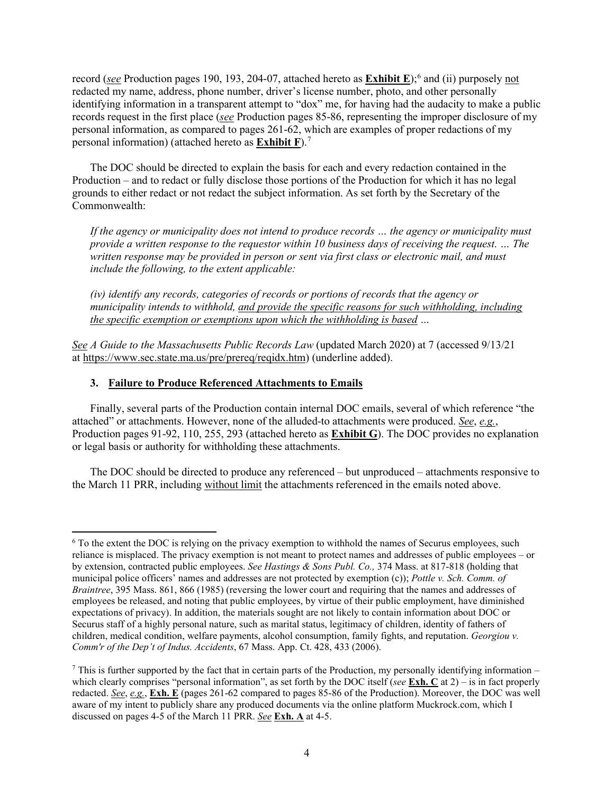record (*see* Production pages 190, 193, 204-07, attached hereto as **Exhibit E**); [6](#page-3-0) and (ii) purposely not redacted my name, address, phone number, driver's license number, photo, and other personally identifying information in a transparent attempt to "dox" me, for having had the audacity to make a public records request in the first place (*see* Production pages 85-86, representing the improper disclosure of my personal information, as compared to pages 261-62, which are examples of proper redactions of my personal information) (attached hereto as **Exhibit F**). [7](#page-3-1)

The DOC should be directed to explain the basis for each and every redaction contained in the Production – and to redact or fully disclose those portions of the Production for which it has no legal grounds to either redact or not redact the subject information. As set forth by the Secretary of the Commonwealth:

*If the agency or municipality does not intend to produce records … the agency or municipality must provide a written response to the requestor within 10 business days of receiving the request. … The written response may be provided in person or sent via first class or electronic mail, and must include the following, to the extent applicable:*

*(iv) identify any records, categories of records or portions of records that the agency or municipality intends to withhold, and provide the specific reasons for such withholding, including the specific exemption or exemptions upon which the withholding is based …*

*See A Guide to the Massachusetts Public Records Law* (updated March 2020) at 7 (accessed 9/13/21 at [https://www.sec.state.ma.us/pre/prereq/reqidx.htm\)](https://www.sec.state.ma.us/pre/prereq/reqidx.htm) (underline added).

# **3. Failure to Produce Referenced Attachments to Emails**

Finally, several parts of the Production contain internal DOC emails, several of which reference "the attached" or attachments. However, none of the alluded-to attachments were produced. *See*, *e.g.*, Production pages 91-92, 110, 255, 293 (attached hereto as **Exhibit G**). The DOC provides no explanation or legal basis or authority for withholding these attachments.

The DOC should be directed to produce any referenced – but unproduced – attachments responsive to the March 11 PRR, including without limit the attachments referenced in the emails noted above.

<span id="page-3-0"></span><sup>6</sup> To the extent the DOC is relying on the privacy exemption to withhold the names of Securus employees, such reliance is misplaced. The privacy exemption is not meant to protect names and addresses of public employees – or by extension, contracted public employees. *See Hastings & Sons Publ. Co.,* 374 Mass. at 817-818 (holding that municipal police officers' names and addresses are not protected by exemption (c)); *Pottle v. Sch. Comm. of Braintree*, 395 Mass. 861, 866 (1985) (reversing the lower court and requiring that the names and addresses of employees be released, and noting that public employees, by virtue of their public employment, have diminished expectations of privacy). In addition, the materials sought are not likely to contain information about DOC or Securus staff of a highly personal nature, such as marital status, legitimacy of children, identity of fathers of children, medical condition, welfare payments, alcohol consumption, family fights, and reputation. *Georgiou v. Comm'r of the Dep't of Indus. Accidents*, 67 Mass. App. Ct. 428, 433 (2006).

<span id="page-3-1"></span><sup>&</sup>lt;sup>7</sup> This is further supported by the fact that in certain parts of the Production, my personally identifying information – which clearly comprises "personal information", as set forth by the DOC itself (*see* **Exh. C** at 2) – is in fact properly redacted. *See*, *e.g.*, **Exh. E** (pages 261-62 compared to pages 85-86 of the Production). Moreover, the DOC was well aware of my intent to publicly share any produced documents via the online platform Muckrock.com, which I discussed on pages 4-5 of the March 11 PRR. *See* **Exh. A** at 4-5.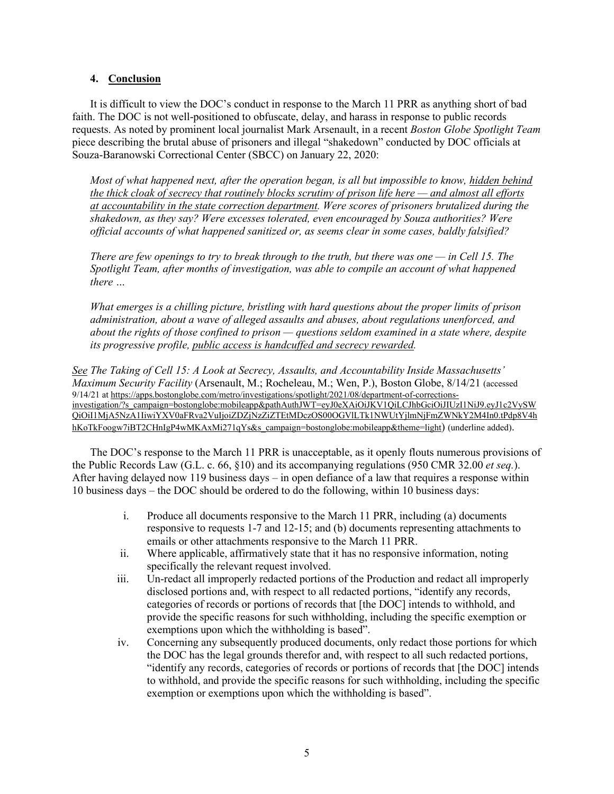## **4. Conclusion**

It is difficult to view the DOC's conduct in response to the March 11 PRR as anything short of bad faith. The DOC is not well-positioned to obfuscate, delay, and harass in response to public records requests. As noted by prominent local journalist Mark Arsenault, in a recent *Boston Globe Spotlight Team* piece describing the brutal abuse of prisoners and illegal "shakedown" conducted by DOC officials at Souza-Baranowski Correctional Center (SBCC) on January 22, 2020:

*Most of what happened next, after the operation began, is all but impossible to know, hidden behind the thick cloak of secrecy that routinely blocks scrutiny of prison life here — and almost all efforts at accountability in the state correction department. Were scores of prisoners brutalized during the shakedown, as they say? Were excesses tolerated, even encouraged by Souza authorities? Were official accounts of what happened sanitized or, as seems clear in some cases, baldly falsified?*

*There are few openings to try to break through to the truth, but there was one — in Cell 15. The Spotlight Team, after months of investigation, was able to compile an account of what happened there …*

*What emerges is a chilling picture, bristling with hard questions about the proper limits of prison administration, about a wave of alleged assaults and abuses, about regulations unenforced, and about the rights of those confined to prison — questions seldom examined in a state where, despite its progressive profile, public access is handcuffed and secrecy rewarded.*

*See The Taking of Cell 15: A Look at Secrecy, Assaults, and Accountability Inside Massachusetts' Maximum Security Facility* (Arsenault, M.; Rocheleau, M.; Wen, P.), Boston Globe, 8/14/21 (accessed 9/14/21 a[t https://apps.bostonglobe.com/metro/investigations/spotlight/2021/08/department-of-corrections](https://apps.bostonglobe.com/metro/investigations/spotlight/2021/08/department-of-corrections-investigation/?s_campaign=bostonglobe:mobileapp&pathAuthJWT=eyJ0eXAiOiJKV1QiLCJhbGciOiJIUzI1NiJ9.eyJ1c2VySWQiOiI1MjA5NzA1IiwiYXV0aFRva2VuIjoiZDZjNzZiZTEtMDczOS00OGVlLTk1NWUtYjlmNjFmZWNkY2M4In0.tPdp8V4hhKoTkFoogw7iBT2CHnIgP4wMKAxMi271qYs&s_campaign=bostonglobe:mobileapp&theme=light)[investigation/?s\\_campaign=bostonglobe:mobileapp&pathAuthJWT=eyJ0eXAiOiJKV1QiLCJhbGciOiJIUzI1NiJ9.eyJ1c2VySW](https://apps.bostonglobe.com/metro/investigations/spotlight/2021/08/department-of-corrections-investigation/?s_campaign=bostonglobe:mobileapp&pathAuthJWT=eyJ0eXAiOiJKV1QiLCJhbGciOiJIUzI1NiJ9.eyJ1c2VySWQiOiI1MjA5NzA1IiwiYXV0aFRva2VuIjoiZDZjNzZiZTEtMDczOS00OGVlLTk1NWUtYjlmNjFmZWNkY2M4In0.tPdp8V4hhKoTkFoogw7iBT2CHnIgP4wMKAxMi271qYs&s_campaign=bostonglobe:mobileapp&theme=light) [QiOiI1MjA5NzA1IiwiYXV0aFRva2VuIjoiZDZjNzZiZTEtMDczOS00OGVlLTk1NWUtYjlmNjFmZWNkY2M4In0.tPdp8V4h](https://apps.bostonglobe.com/metro/investigations/spotlight/2021/08/department-of-corrections-investigation/?s_campaign=bostonglobe:mobileapp&pathAuthJWT=eyJ0eXAiOiJKV1QiLCJhbGciOiJIUzI1NiJ9.eyJ1c2VySWQiOiI1MjA5NzA1IiwiYXV0aFRva2VuIjoiZDZjNzZiZTEtMDczOS00OGVlLTk1NWUtYjlmNjFmZWNkY2M4In0.tPdp8V4hhKoTkFoogw7iBT2CHnIgP4wMKAxMi271qYs&s_campaign=bostonglobe:mobileapp&theme=light) [hKoTkFoogw7iBT2CHnIgP4wMKAxMi271qYs&s\\_campaign=bostonglobe:mobileapp&theme=light\)](https://apps.bostonglobe.com/metro/investigations/spotlight/2021/08/department-of-corrections-investigation/?s_campaign=bostonglobe:mobileapp&pathAuthJWT=eyJ0eXAiOiJKV1QiLCJhbGciOiJIUzI1NiJ9.eyJ1c2VySWQiOiI1MjA5NzA1IiwiYXV0aFRva2VuIjoiZDZjNzZiZTEtMDczOS00OGVlLTk1NWUtYjlmNjFmZWNkY2M4In0.tPdp8V4hhKoTkFoogw7iBT2CHnIgP4wMKAxMi271qYs&s_campaign=bostonglobe:mobileapp&theme=light) (underline added).

The DOC's response to the March 11 PRR is unacceptable, as it openly flouts numerous provisions of the Public Records Law (G.L. c. 66, §10) and its accompanying regulations (950 CMR 32.00 *et seq.*). After having delayed now 119 business days – in open defiance of a law that requires a response within 10 business days – the DOC should be ordered to do the following, within 10 business days:

- i. Produce all documents responsive to the March 11 PRR, including (a) documents responsive to requests 1-7 and 12-15; and (b) documents representing attachments to emails or other attachments responsive to the March 11 PRR.
- ii. Where applicable, affirmatively state that it has no responsive information, noting specifically the relevant request involved.
- iii. Un-redact all improperly redacted portions of the Production and redact all improperly disclosed portions and, with respect to all redacted portions, "identify any records, categories of records or portions of records that [the DOC] intends to withhold, and provide the specific reasons for such withholding, including the specific exemption or exemptions upon which the withholding is based".
- iv. Concerning any subsequently produced documents, only redact those portions for which the DOC has the legal grounds therefor and, with respect to all such redacted portions, "identify any records, categories of records or portions of records that [the DOC] intends to withhold, and provide the specific reasons for such withholding, including the specific exemption or exemptions upon which the withholding is based".